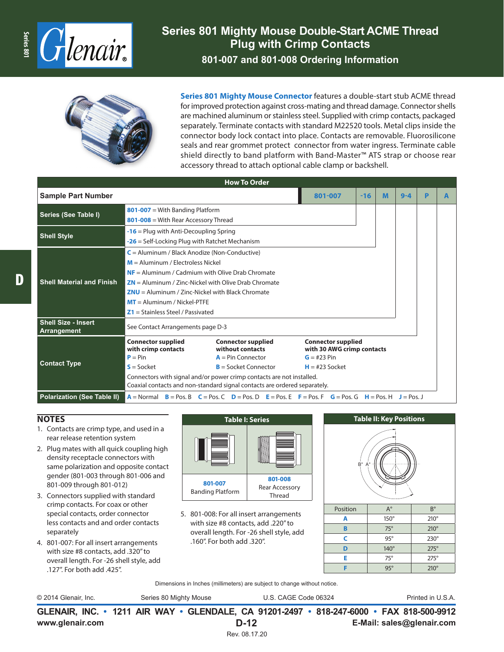

## **Series 801 Mighty Mouse Double-Start ACME Thread Plug with Crimp Contacts 801-007 and 801-008 Ordering Information**



**Series 801 Mighty Mouse Connector** features a double-start stub ACME thread for improved protection against cross-mating and thread damage. Connector shells are machined aluminum or stainless steel. Supplied with crimp contacts, packaged separately. Terminate contacts with standard M22520 tools. Metal clips inside the connector body lock contact into place. Contacts are removable. Fluorosilicone seals and rear grommet protect connector from water ingress. Terminate cable shield directly to band platform with Band-Master™ ATS strap or choose rear accessory thread to attach optional cable clamp or backshell.

| <b>How To Order</b>                       |                                                                                                                                                                                                                                                                                                                                      |                                                                                                |                                                                                                                                                                                                                                                    |         |   |  |  |  |
|-------------------------------------------|--------------------------------------------------------------------------------------------------------------------------------------------------------------------------------------------------------------------------------------------------------------------------------------------------------------------------------------|------------------------------------------------------------------------------------------------|----------------------------------------------------------------------------------------------------------------------------------------------------------------------------------------------------------------------------------------------------|---------|---|--|--|--|
| <b>Sample Part Number</b>                 | 801-007                                                                                                                                                                                                                                                                                                                              | $-16$                                                                                          | M                                                                                                                                                                                                                                                  | $9 - 4$ | P |  |  |  |
| Series (See Table I)                      | $801-007$ = With Banding Platform<br>801-008 = With Rear Accessory Thread                                                                                                                                                                                                                                                            |                                                                                                |                                                                                                                                                                                                                                                    |         |   |  |  |  |
| <b>Shell Style</b>                        | $-16$ = Plug with Anti-Decoupling Spring<br>$-26$ = Self-Locking Plug with Ratchet Mechanism                                                                                                                                                                                                                                         |                                                                                                |                                                                                                                                                                                                                                                    |         |   |  |  |  |
| <b>Shell Material and Finish</b>          | $C =$ Aluminum / Black Anodize (Non-Conductive)<br>$M =$ Aluminum / Electroless Nickel<br>$NF =$ Aluminum / Cadmium with Olive Drab Chromate<br>$ZN =$ Aluminum / Zinc-Nickel with Olive Drab Chromate<br>$ZNU =$ Aluminum / Zinc-Nickel with Black Chromate<br>$MT =$ Aluminum / Nickel-PTFE<br>$Z1 =$ Stainless Steel / Passivated |                                                                                                |                                                                                                                                                                                                                                                    |         |   |  |  |  |
| <b>Shell Size - Insert</b><br>Arrangement | See Contact Arrangements page D-3                                                                                                                                                                                                                                                                                                    |                                                                                                |                                                                                                                                                                                                                                                    |         |   |  |  |  |
| <b>Contact Type</b>                       | <b>Connector supplied</b><br>with crimp contacts<br>$P = Pin$<br>$S = S$ ocket                                                                                                                                                                                                                                                       | <b>Connector supplied</b><br>without contacts<br>$A = Pin Connector$<br>$B =$ Socket Connector | <b>Connector supplied</b><br>with 30 AWG crimp contacts<br>$G = #23 Pin$<br>$H = #23$ Socket<br>Connectors with signal and/or power crimp contacts are not installed.<br>Coaxial contacts and non-standard signal contacts are ordered separately. |         |   |  |  |  |
| <b>Polarization (See Table II)</b>        | $A = Normal$ B = Pos. B C = Pos. C D = Pos. D E = Pos. E F = Pos. F G = Pos. G H = Pos. H J = Pos. J                                                                                                                                                                                                                                 |                                                                                                |                                                                                                                                                                                                                                                    |         |   |  |  |  |

## **NOTES**

- 1. Contacts are crimp type, and used in a rear release retention system
- 2. Plug mates with all quick coupling high density receptacle connectors with same polarization and opposite contact gender (801-003 through 801-006 and 801-009 through 801-012)
- 3. Connectors supplied with standard crimp contacts. For coax or other special contacts, order connector less contacts and and order contacts separately
- 4. 801-007: For all insert arrangements with size #8 contacts, add .320" to overall length. For -26 shell style, add .127". For both add .425".



5. 801-008: For all insert arrangements with size #8 contacts, add .220" to overall length. For -26 shell style, add .160". For both add .320".



Dimensions in Inches (millimeters) are subject to change without notice.

© 2014 Glenair, Inc. Series 80 Mighty Mouse U.S. CAGE Code 06324 Printed in U.S.A.

**www.glenair.com E-Mail: sales@glenair.com GLENAIR, INC. • 1211 AIR WAY • GLENDALE, CA 91201-2497 • 818-247-6000 • FAX 818-500-9912 D-12** Rev. 08.17.20